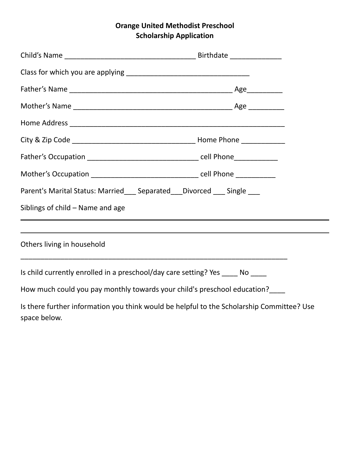## **Orange United Methodist Preschool Scholarship Application**

|                                  | Parent's Marital Status: Married___ Separated___ Divorced ___ Single ___                  |
|----------------------------------|-------------------------------------------------------------------------------------------|
| Siblings of child – Name and age |                                                                                           |
|                                  |                                                                                           |
| Others living in household       |                                                                                           |
|                                  | Is child currently enrolled in a preschool/day care setting? Yes ______ No _____          |
|                                  | How much could you pay monthly towards your child's preschool education?                  |
| space below.                     | Is there further information you think would be helpful to the Scholarship Committee? Use |